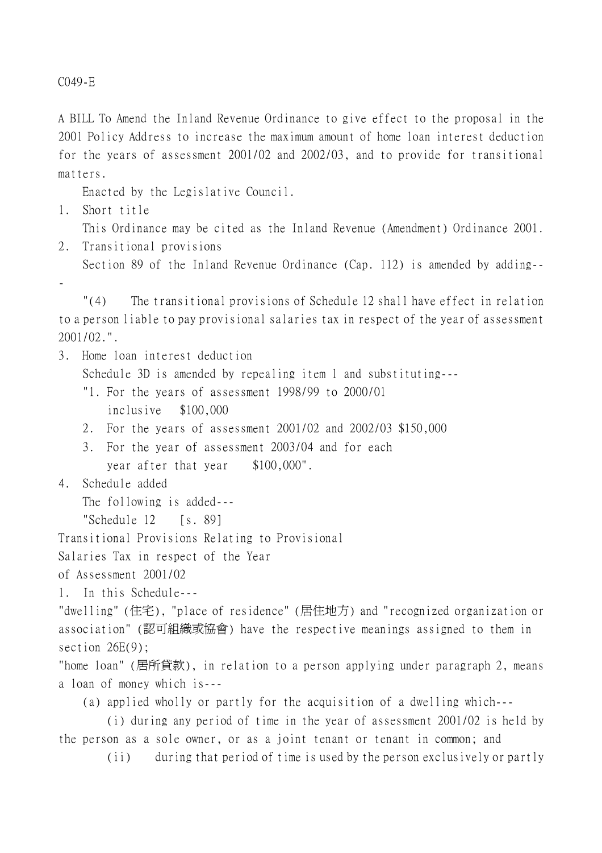C049-E

A BILL To Amend the Inland Revenue Ordinance to give effect to the proposal in the 2001 Policy Address to increase the maximum amount of home loan interest deduction for the years of assessment 2001/02 and 2002/03, and to provide for transitional matters.

Enacted by the Legislative Council.

1. Short title

This Ordinance may be cited as the Inland Revenue (Amendment) Ordinance 2001.

- 2. Transitional provisions
	- Section 89 of the Inland Revenue Ordinance (Cap. 112) is amended by adding--
- -

"(4) The transitional provisions of Schedule 12 shall have effect in relation to a person liable to pay provisional salaries tax in respect of the year of assessment 2001/02.".

3. Home loan interest deduction

Schedule 3D is amended by repealing item 1 and substituting---

- "1. For the years of assessment 1998/99 to 2000/01 inclusive \$100,000
- 2. For the years of assessment 2001/02 and 2002/03 \$150,000
- 3. For the year of assessment 2003/04 and for each year after that year \$100,000".
- 4. Schedule added

The following is added---

"Schedule 12 [s. 89]

Transitional Provisions Relating to Provisional

Salaries Tax in respect of the Year

of Assessment 2001/02

1. In this Schedule---

"dwelling" (住宅), "place of residence" (居住㆞方) and "recognized organization or association" (認可組織或協會) have the respective meanings assigned to them in section  $26E(9)$ ;

"home loan" (居所貸款), in relation to a person applying under paragraph 2, means a loan of money which is---

(a) applied wholly or partly for the acquisition of a dwelling which---

(i) during any period of time in the year of assessment 2001/02 is held by the person as a sole owner, or as a joint tenant or tenant in common; and

(ii) during that period of time is used by the person exclusively or partly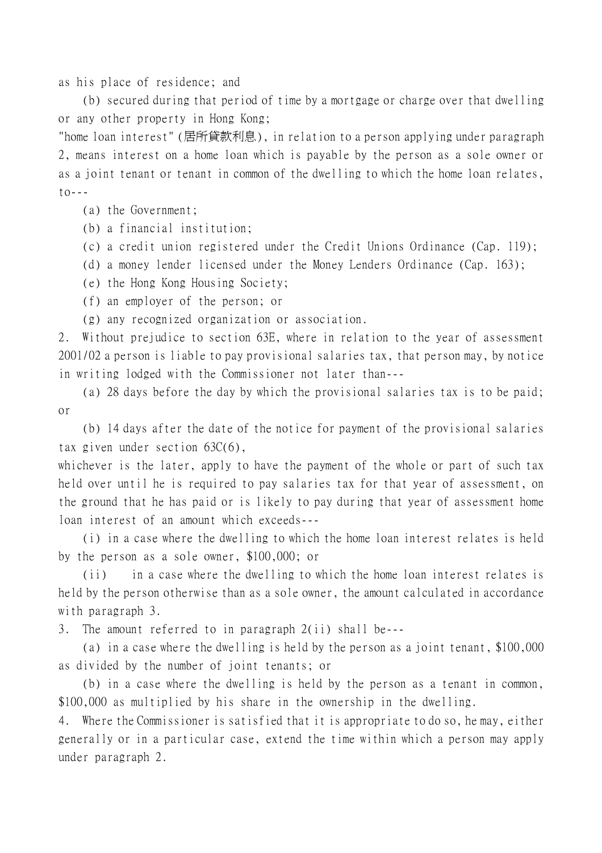as his place of residence; and

(b) secured during that period of time by a mortgage or charge over that dwelling or any other property in Hong Kong;

"home loan interest" (居所貸款利息), in relation to a person applying under paragraph 2, means interest on a home loan which is payable by the person as a sole owner or as a joint tenant or tenant in common of the dwelling to which the home loan relates,  $\uparrow$   $\circ$  - - -

(a) the Government;

(b) a financial institution;

(c) a credit union registered under the Credit Unions Ordinance (Cap. 119);

(d) a money lender licensed under the Money Lenders Ordinance (Cap. 163);

(e) the Hong Kong Housing Society;

(f) an employer of the person; or

(g) any recognized organization or association.

2. Without prejudice to section 63E, where in relation to the year of assessment 2001/02 a person is liable to pay provisional salaries tax, that person may, by notice in writing lodged with the Commissioner not later than---

(a) 28 days before the day by which the provisional salaries tax is to be paid; or

(b) 14 days after the date of the notice for payment of the provisional salaries tax given under section 63C(6),

whichever is the later, apply to have the payment of the whole or part of such tax held over until he is required to pay salaries tax for that year of assessment, on the ground that he has paid or is likely to pay during that year of assessment home loan interest of an amount which exceeds---

(i) in a case where the dwelling to which the home loan interest relates is held by the person as a sole owner, \$100,000; or

(ii) in a case where the dwelling to which the home loan interest relates is held by the person otherwise than as a sole owner, the amount calculated in accordance with paragraph 3.

3. The amount referred to in paragraph 2(ii) shall be---

(a) in a case where the dwelling is held by the person as a joint tenant, \$100,000 as divided by the number of joint tenants; or

(b) in a case where the dwelling is held by the person as a tenant in common, \$100,000 as multiplied by his share in the ownership in the dwelling.

4. Where the Commissioner is satisfied that it is appropriate to do so, he may, either generally or in a particular case, extend the time within which a person may apply under paragraph 2.